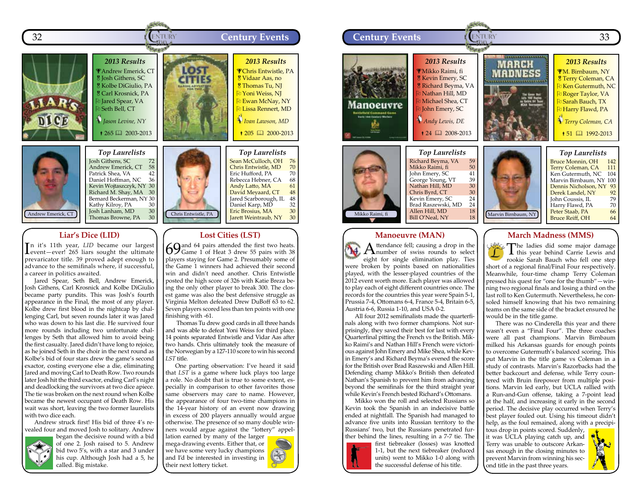



# **Liar's Dice (LID)**

In it's 11th year, *LID* became our largest<br>Levent—ever! 265 liars sought the ultimate n it's 11th year, *LID* became our largest prevaricator title. 39 proved adept enough to advance to the semifinals where, if successful, a career in politics awaited.

Jared Spear, Seth Bell, Andrew Emerick, Josh Githens, Carl Krosnick and Kolbe DiGiulio became party pundits. This was Josh's fourth appearance in the Final, the most of any player. Kolbe drew first blood in the nightcap by challenging Carl, but seven rounds later it was Jared who was down to his last die. He survived four more rounds including two unfortunate challenges by Seth that allowed him to avoid being the first casualty. Jared didn't have long to rejoice, as he joined Seth in the choir in the next round as Kolbe's bid of four stars drew the game's second exactor, costing everyone else a die, eliminating Jared and moving Carl to Death Row. Two rounds later Josh hit the third exactor, ending Carl's night and deadlocking the survivors at two dice apiece. The tie was broken on the next round when Kolbe became the newest occupant of Death Row. His wait was short, leaving the two former laurelists with two dice each.

Andrew struck first! His bid of three 4's revealed four and moved Josh to solitary. Andrew



began the decisive round with a bid of one 2. Josh raised to 5. Andrew bid two 5's, with a star and 3 under his cup. Although Josh had a 5, he called. Big mistake.



#### Chris Entwistle, PA **Lost Cities (LST)** Jared Scarborough, IL 48<br>Daniel Karp, MD 32 Daniel Karp, MD 32<br>Eric Brosius, MA 30 Eric Brosius, MA 30<br>
Iarett Weintraub. NY 30 Jarett Weintraub, NY

Rebecca Hebner, CA 68<br>Andy Latto, MA 61 Andy Latto, MA 61<br>David Mevaard, CT 48 David Meyaard, CT 48<br>Jared Scarborough, IL 48

69 and 64 pairs attended the first two heats.<br>69 Game 1 of Heat 3 drew 55 pairs with 38 players staying for Game 2. Presumably some of the Game 1 winners had achieved their second win and didn't need another. Chris Entwistle posted the high score of 326 with Katie Breza being the only other player to break 300. The closest game was also the best defensive struggle as Virginia Melton defeated Drew DuBoff 63 to 62. Seven players scored less than ten points with one finishing with -61.

Thomas Tu drew good cards in all three hands and was able to defeat Yoni Weiss for third place. 14 points separated Entwistle and Vidar Aas after two hands. Chris ultimately took the measure of the Norwegian by a 127-110 score to win his second *LST* title.

One parting observation: I've heard it said that *LST* is a game where luck plays too large a role. No doubt that is true to some extent, especially in comparison to other favorites those same observers may care to name. However, the appearance of four two-time champions in the 14-year history of an event now drawing in excess of 200 players annually would argue otherwise. The presence of so many double winners would argue against the "lottery" appel-

lation earned by many of the larger mega-drawing events. Either that, or we have some very lucky champions and I'd be interested in investing in their next lottery ticket.



#### **Manoeuvre (MAN)**

A ttendance fell; causing a drop in the number of swiss rounds to select eight for single elimination play. Ties were broken by points based on nationalities played, with the lesser-played countries of the 2012 event worth more. Each player was allowed to play each of eight different countries once. The records for the countries this year were Spain 5-1, Prussia 7-4, Ottomans 6-4, France 5-4, Britain 6-5, Austria 6-6, Russia 1-10, and USA 0-2.

All four 2012 semifinalists made the quarterfinals along with two former champions. Not surprisingly, they saved their best for last with every Quarterfinal pitting the French vs the British. Mikko Raimi's and Nathan Hill's French were victorious against John Emery and Mike Shea, while Kevin Emery's and Richard Beyma's evened the score for the British over Brad Raszewski and Allen Hill. Defending champ Mikko's British then defeated Nathan's Spanish to prevent him from advancing beyond the semifinals for the third straight year while Kevin's French bested Richard's Ottomans.

Mikko won the roll and selected Russians so Kevin took the Spanish in an indecisive battle ended at nightfall. The Spanish had managed to advance five units into Russian territory to the Russians' two, but the Russians penetrated further behind the lines, resulting in a 7-7 tie. The



first tiebreaker (losses) was knotted 1-1, but the next tiebreaker (reduced units) went to Mikko 1-0 along with the successful defense of his title.

### **March Madness (MMS)**

The ladies did some major damage **1** this year behind Carrie Lewis and rookie Sarah Bauch who fell one step short of a regional final/Final Four respectively. Meanwhile, four-time champ Terry Coleman pressed his quest for "one for the thumb"—winning two regional finals and losing a third on the last roll to Ken Gutermuth. Nevertheless, he consoled himself knowing that his two remaining teams on the same side of the bracket ensured he would be in the title game.

There was no Cinderella this year and there wasn't even a "Final Four". The three coaches were all past champions. Marvin Birnbaum milked his Arkansas guards for enough points to overcome Gutermuth's balanced scoring. This put Marvin in the title game vs Coleman in a study of contrasts. Marvin's Razorbacks had the better backcourt and defense, while Terry countered with Bruin firepower from multiple positions. Marvin led early, but UCLA rallied with a Run-and-Gun offense, taking a 7-point lead at the half, and increasing it early in the second period. The decisive play occurred when Terry's best player fouled out. Using his timeout didn't help, as the foul remained, along with a precipi-

tous drop in points scored. Suddenly, it was UCLA playing catch up, and Terry was unable to outscore Arkansas enough in the closing minutes to prevent Marvin from winning his second title in the past three years.

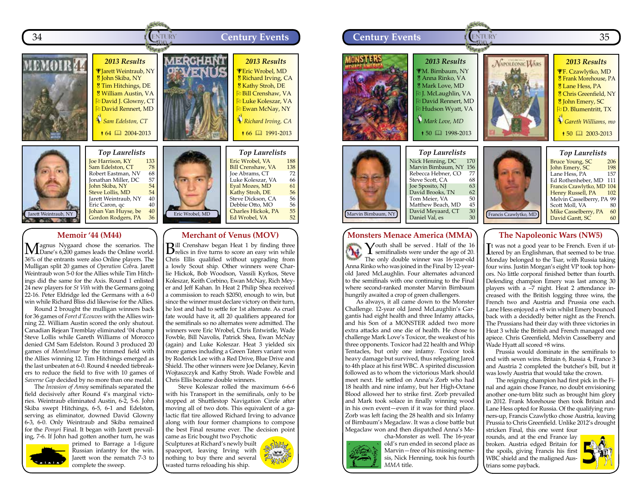



*Top Laurelists* **Joe Harrison, KY** 133<br>**Sam Edelston, CT** 78<br>Robert Eastman, NV 68 Sam Edelston, CT Robert Eastman, NV 68<br>Ionathan Miller, DC 57 Jonathan Miller, DC 57<br><mark>John Skiba, NY 54</mark> John Skiba, NY 54<br>Steve Lollis, MD 54 Steve Lollis, MD 54<br>Jarett Weintraub, NY 40 Jarett Weintraub, NY 40 Eric Caron, qc 40<br><mark>Johan Van Huyse, be 40</mark> Gordon Rodgers, PA 36

#### **Memoir '44 (M44)**

Magnus Nygaard chose the scenarios. The School Game's 6,200 games leads the Online world. 36% of the entrants were also Online players. The Mulligan split 20 games of *Operation Cobr*a. Jarett Weintraub won 5-0 for the Allies while Tim Hitchings did the same for the Axis. Round 1 enlisted 24 new players for *St Vith* with the Germans going 22-16. Peter Eldridge led the Germans with a 6-0 win while Richard Bliss did likewise for the Allies.

Round 2 brought the mulligan winners back for 36 games of *Foret d'Ecouves* with the Allies winning 22. William Austin scored the only shutout. Canadian Rejean Tremblay eliminated '04 champ Steve Lollis while Gareth Williams of Morocco denied GM Sam Edelston. Round 3 produced 20 games of *Montelimar* by the trimmed field with the Allies winning 12. Tim Hitchings emerged as the last unbeaten at 6-0. Round 4 needed tiebreakers to reduce the field to five with 10 games of *Saverne Gap* decided by no more than one medal.

The *Invasion of Amoy* semifinals separated the field decisively after Round 4's marginal victories. Weintraub eliminated Austin, 6-2, 5-6. John Skiba swept Hitchings, 6-5, 6-1 and Edelston, serving as eliminator, downed David Glowny 6-3, 6-0. Only Weintraub and Skiba remained for the *Ponyri* Final. It began with Jarett prevailing, 7-6. If John had gotten another turn, he was



primed to Barrage a 1-figure Russian infantry for the win. Jarett won the rematch 7-3 to complete the sweep.

Eric Wrobel, MD

*Top Laurelists* Eric Wrobel, VA<br>Bill Crenshaw, VA 138 **Bill Crenshaw, VA 138**<br>Joe Abrams, CT 72<br>Luke Koleszar, VA 66 **Joe Abrams**, CT Luke Koleszar, VA 66<br>Eyal Mozes, MD 61 Eyal Mozes, MD 61<br>Kathy Stroh, DE 56 Kathy Stroh, DE 56<br>Steve Dickson, CA 56 Steve Dickson, CA 56<br>Debbie Otto, MO 56<br><mark>Charles Hickok, PA 55</mark> Debbie Otto, MO Charles Hickok, PA 55<br>Ed Wrobel, VA 52 Ed Wrobel, VA

# **Merchant of Venus (MOV)**

**B**ill Crenshaw began Heat 1 by finding three Prelics in five turns to score an easy win while Chris Ellis qualified without upgrading from a lowly Scout ship. Other winners were Charlie Hickok, Bob Woodson, Vassili Kyrkos, Steve Koleszar, Keith Corbino, Ewan McNay, Rich Meyer and Jeff Kahan. In Heat 2 Philip Shea received a commission to reach \$2050, enough to win, but since the winner must declare victory on their turn, he lost and had to settle for 1st alternate. As cruel fate would have it, all 20 qualifiers appeared for the semifinals so no alternates were admitted. The winners were Eric Wrobel, Chris Entwistle, Wade Fowble, Bill Navolis, Patrick Shea, Ewan McNay (again) and Luke Koleszar. Heat 3 yielded six more games including a Green Taters variant won by Roderick Lee with a Red Drive, Blue Drive and Shield. The other winners were Joe Delaney, Kevin Wojtaszczyk and Kathy Stroh. Wade Fowble and Chris Ellis became double winners.

 Steve Koleszar rolled the maximum 6-6-6 with his Transport in the semifinals, only to be stopped at Shuttlestop Navigation Circle after moving all of two dots. This equivalent of a galactic flat tire allowed Richard Irving to advance along with four former champions to compose the best Final resume ever. The decision point came as Eric bought two Psychotic

Sculptures at Richard's newly built spaceport, leaving Irving with nothing to buy there and several wasted turns reloading his ship.

 $\approx 6$ 



Youth shall be served. Half of the 16<br>
semifinalists were under the age of 20. The only double winner was 16-year-old Anna Rinko who was joined in the Final by 12-yearold Jared McLaughlin. Four alternates advanced to the semifinals with one continuing to the Final where second-ranked monster Marvin Birnbaum hungrily awaited a crop of green challengers.

As always, it all came down to the Monster Challenge. 12-year old Jared McLaughlin's Gargantis had eight health and three Infamy attacks, and his Son of a MONSTER added two more extra attacks and one die of health. He chose to challenge Mark Love's Toxicor, the weakest of his three opponents. Toxicor had 22 health and Whip Tentacles, but only one infamy. Toxicor took heavy damage but survived, thus relegating Jared to 4th place at his first WBC. A spirited discussion followed as to whom the victorious Mark should meet next. He settled on Anna's Zorb who had 18 health and nine infamy, but her High-Octane Blood allowed her to strike first. Zorb prevailed and Mark took solace in finally winning wood in his own event—even if it was for third place. Zorb was left facing the 28 health and six Infamy of Birnbaum's Megaclaw. It was a close battle but Megaclaw won and then dispatched Anna's Me-



cha-Monster as well. The 16-year old's run ended in second place as Marvin—free of his missing nemesis, Nick Henning, took his fourth *MMA* title.

It was not a good year to be French. Even if ut-<br>Lered by an Englishman, that seemed to be true. Monday belonged to the Tsar, with Russia taking four wins. Justin Morgan's eight VP took top honors. No little corporal finished better than fourth. Defending champion Emery was last among 30 players with a –7 night. Heat 2 attendance increased with the British logging three wins, the French two and Austria and Prussia one each. Lane Hess enjoyed a +8 win whilst Emery bounced back with a decidedly better night as the French. The Prussians had their day with three victories in Heat 3 while the British and French managed one apiece. Chris Greenfield, Melvin Casselberry and Wade Hyatt all scored +8 wins.

Prussia would dominate in the semifinals to end with seven wins. Britain 6, Russia 4, France 3 and Austria 2 completed the butcher's bill, but it was lowly Austria that would take the crown.

The reigning champion had first pick in the Final and again chose France, no doubt envisioning another one-turn blitz such as brought him glory in 2012. Frank Morehouse then took Britain and Lane Hess opted for Russia. Of the qualifying runners-up, Francis Czawlytko chose Austria, leaving Prussia to Chris Greenfield. Unlike 2012's drought stricken Final, this one went four

rounds, and at the end France lay broken. Austria edged Britain for the spoils, giving Francis his first WBC shield and the maligned Austrians some payback.

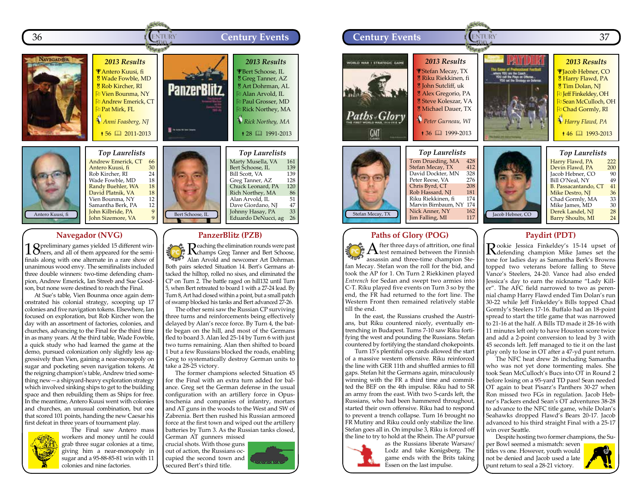



# **Navegador (NVG)**

1 Spreliminary games yielded 15 different win-<br>Dners, and all of them appeared for the semifinals along with one alternate in a rare show of unanimous wood envy. The semifinalists included three double winners: two-time defending champion, Andrew Emerick, Ian Streeb and Sue Goodson, but none were destined to reach the Final.

At Sue's table, Vien Bounma once again demonstrated his colonial strategy, scooping up 17 colonies and five navigation tokens. Elsewhere, Ian focused on exploration, but Rob Kircher won the day with an assortment of factories, colonies, and churches, advancing to the Final for the third time in as many years. At the third table, Wade Fowble, a quick study who had learned the game at the demo, pursued colonization only slightly less aggressively than Vien, gaining a near-monopoly on sugar and pocketing seven navigation tokens. At the reigning champion's table, Andrew tried something new—a shipyard-heavy exploration strategy which involved sinking ships to get to the building space and then rebuilding them as Ships for free. In the meantime, Antero Kuusi went with colonies and churches, an unusual combination, but one that scored 101 points, handing the new Caesar his first defeat in three years of tournament play.



The Final saw Antero mass workers and money until he could grab three sugar colonies at a time, giving him a near-monopoly in sugar and a 95-88-85-81 win with 11 colonies and nine factories.

Bert Schoose, IL Bert Schoose, IL 139<br>Bill Scott, VA 139 Bill Scott, VA 139<br>Greg Tanner, AZ 128 Greg Tanner, AZ 128<br>Chuck Leonard, PA 120 Chuck Leonard, PA 120<br>Rich Northey, MA 86 Rich Northey, MA 86<br>Alan Arvold, IL 51 Alan Arvold, IL 51 Dave Giordano, NJ 47<br>Johnny Hasay, PA 33 Johnny Hasay, PA 33<br>Eduardo DeNucci, ag 26 Eduardo DeNucci, ag 26

#### **PanzerBlitz (PZB)**

Reaching the elimination rounds were past champs Greg Tanner and Bert Schoose, Alan Arvold and newcomer Art Dohrman.<br>Alan Arvold and newcomer Art Dohrman. Both pairs selected Situation 14. Bert's Germans attacked the hilltop, rolled no sixes, and eliminated the CP on Turn 2. The battle raged on hill132 until Turn 5, when Bert retreated to board 1 with a 27-24 lead. By Turn 8, Art had closed within a point, but a small patch of swamp blocked his tanks and Bert advanced 27-26.

The other semi saw the Russian CP surviving three turns and reinforcements being effectively delayed by Alan's recce force. By Turn 4, the battle began on the hill, and most of the Germans fled to board 3. Alan led 25-14 by Turn 6 with just two turns remaining. Alan then shifted to board 1 but a few Russians blocked the roads, enabling Greg to systematically destroy German units to take a 28-25 victory.

The former champions selected Situation 45 for the Final with an extra turn added for balance. Greg set the German defense in the usual configuration with an artillery force in Opustoschenia and companies of infantry, mortars and AT guns in the woods to the West and SW of Zabrenia. Bert then rushed his Russian armored force at the first town and wiped out the artillery batteries by Turn 3. As the Russian tanks closed,

German AT gunners missed crucial shots. With those guns out of action, the Russians occupied the second town and secured Bert's third title.





#### **Paths of Glory (POG)**

 ${\rm A}$  fter three days of attrition, one final  ${\rm A}$  test remained between the Finnish  $\frac{1}{2}$   $\frac{1}{2}$   $\frac{1}{2}$   $\frac{1}{2}$   $\frac{1}{2}$  thest remained between the Finnish assassin and three-time champion Stefan Mecay. Stefan won the roll for the bid, and took the AP for 1. On Turn 2 Riekkinen played *Entrench* for Sedan and swept two armies into C-T. Riku played five events on Turn 3 so by the end, the FR had returned to the fort line. The Western Front then remained relatively stable till the end.

In the east, the Russians crushed the Austrians, but Riku countered nicely, eventually entrenching in Budapest. Turns 7-10 saw Riku fortifying the west and pounding the Russians. Stefan countered by fortifying the standard chokepoints.

Turn 15's plentiful ops cards allowed the start of a massive western offensive. Riku reinforced the line with GER 11th and shuffled armies to fill gaps. Stefan hit the Germans again, miraculously winning with the FR a third time and committed the BEF on the 4th impulse. Riku had to SR an army from the east. With two 5-cards left, the Russians, who had been hammered throughout, started their own offensive. Riku had to respond to prevent a trench collapse. Turn 16 brought no FR Mutiny and Riku could only stabilize the line. Stefan goes all in. On impulse 3, Riku is forced off the line to try to hold at the Rhein. The AP pursue

> as the Russians liberate Warsaw/ Lodz and take Konigsberg. The game ends with the Brits taking Essen on the last impulse.



Nick Anner, NY 162<br>
Iim Falling, MI 117



Derek Landel, NJ 28 Barry Shoults, MI 24

**Paydirt (PDT)**

Rookie Jessica Finkeldey's 15-14 upset of defending champion Mike James set the tone for ladies day as Samantha Berk's Browns topped two veterans before falling to Steve Vance's Steelers, 24-20. Vance had also ended Jessica's day to earn the nickname "Lady Killer". The AFC field narrowed to two as perennial champ Harry Flawd ended Tim Dolan's run 30-22 while Jeff Finkeldey's Bills topped Chad Gormly's Steelers 17-16. Buffalo had an 18-point spread to start the title game that was narrowed to 21-16 at the half. A Bills TD made it 28-16 with 11 minutes left only to have Houston score twice and add a 2-point conversion to lead by 3 with 45 seconds left. Jeff managed to tie it on the last play only to lose in OT after a 47-yd punt return.

The NFC heat drew 26 including Samantha who was not yet done tormenting males. She took Sean McCulloch's Bucs into OT in Round 2 before losing on a 95-yard TD pass! Sean needed OT again to beat Pisarz's Panthers 30-27 when Ron missed two FGs in regulation. Jacob Hebner's Packers ended Sean's OT adventures 38-28 to advance to the NFC title game, while Dolan's Seahawks dropped Flawd's Bears 20-17. Jacob advanced to his third straight Final with a 25-17 win over Seattle.

Despite hosting two former champions, the Su-

per Bowl seemed a mismatch: seven titles vs one. However, youth would not be denied and Jacob used a late punt return to seal a 28-21 victory.

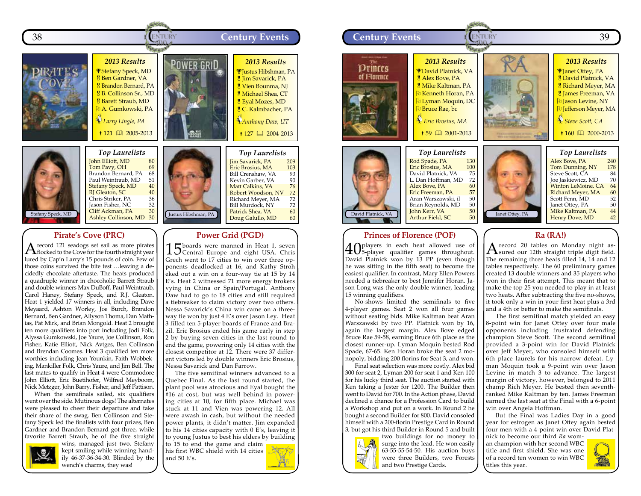



#### John Elliott, MD 80<br>Tom Pavy, OH 69 Tom Pavy, OH 69<br>Brandon Bernard, PA 68 Brandon Bernard, PA 68<br>Paul Weintraub, MD 51 Paul Weintraub, MD 51<br>Stefany Speck, MD 40 Stefany Speck, MD 40<br>RJ Gleaton, SC 40 RJ Gleaton, SC and the Magnesian Magnesium of the Magnesium of the Magnesium of the Magnesium of the Magnesium<br>
Radio Striker, PA and Magnesium of the Magnesium of the Magnesium of the Magnesium of the Magnesium of the Ma<br> Chris Striker, PA 36<br>Jason Fisher, NC 32 Jason Fisher, NC 32 Cliff Ackman, PA 30<br>Ashley Collinson, MD 30 Ashley Collinson, MD

# **Pirate's Cove (PRC)**

A record 121 seadogs set sail as more pirates<br>flocked to the Cove for the fourth straight year lured by Cap'n Larry's 15 pounds of coin. Few of those coins survived the bite test …leaving a decidedly chocolate aftertaste. The heats produced a quadruple winner in chocoholic Barrett Straub and double winners Max DuBoff, Paul Weintraub, Carol Haney, Stefany Speck, and R.J. Gleaton. Heat 1 yielded 17 winners in all, including Dave Meyaard, Ashton Worley, Joe Burch, Brandon Bernard, Ben Gardner, Allyson Thoma, Dan Mathias, Pat Mirk, and Brian Mongold. Heat 2 brought ten more qualifiers into port including Jodi Folk, Alyssa Gumkowski, Joe Yaure, Joe Collinson, Ron Fisher, Katie Elliott, Nick Avtges, Ben Collinson and Brendan Coomes. Heat 3 qualified ten more worthies including Jean Younkin, Faith Wobbeking, Mankiller Folk, Chris Yaure, and Jim Bell. The last mates to qualify in Heat 4 were Commodore John Elliott, Eric Buetihofer, Wilfred Meyboom, Nick Metzger, John Barry, Fisher, and Jeff Pattison.

When the semifinals sailed, six qualifiers went over the side. Mutinous dogs! The alternates were pleased to cheer their departure and take their share of the swag. Ben Collinson and Stefany Speck led the finalists with four prizes, Ben Gardner and Brandon Bernard got three, while favorite Barrett Straub, he of the five straight



wins, managed just two. Stefany kept smiling while winning handily 46-37-36-34-30. Blinded by the wench's charms, they was!



# **Power Grid (PGD)**

15 boards were manned in Heat 1, seven Central Europe and eight USA. Chris Grech went to 17 cities to win over three opponents deadlocked at 16, and Kathy Stroh eked out a win on a four-way tie at 15 by 14 E's. Heat 2 witnessed 71 more energy brokers vying in China or Spain/Portugal. Anthony Daw had to go to 18 cities and still required a tiebreaker to claim victory over two others. Nessa Savarick's China win came on a threeway tie won by just 4 E's over Jason Ley. Heat 3 filled ten 5-player boards of France and Brazil. Eric Brosius ended his game early in step 2 by buying seven cities in the last round to end the game, powering only 14 cities with the closest competitor at 12. There were 37 different victors led by double winners Eric Brosius, Nessa Savarick and Dan Farrow.

The five semifinal winners advanced to a Quebec Final. As the last round started, the plant pool was atrocious and Eyal bought the #16 at cost, but was well behind in powering cities at 10, for fifth place. Michael was stuck at 11 and Vien was powering 12. All were awash in cash, but without the needed power plants, it didn't matter. Jim expanded to his 14 cities capacity with 0 E's, leaving it to young Justus to best his elders by building to 15 to end the game and claim his first WBC shield with 14 cities

and 50 E's.





John Kerr, VA 50<br>Arthur Field, SC 50 Arthur Field, SC



40 players in each heat allowed use of 5-player qualifier games throughout. David Platnick won by 13 PP (even though he was sitting in the fifth seat) to become the easiest qualifier. In contrast, Mary Ellen Powers needed a tiebreaker to best Jennifer Horan. Jason Long was the only double winner, leading 15 winning qualifiers.

No-shows limited the semifinals to five 4-player games. Seat 2 won all four games without seating bids. Mike Kaltman beat Aran Warszawski by two PP. Platnick won by 16, again the largest margin. Alex Bove edged Bruce Rae 59-58, earning Bruce 6th place as the closest runner-up. Lyman Moquin bested Rod Spade, 67-65. Ken Horan broke the seat 2 monopoly, bidding 200 florins for Seat 3, and won.

Final seat selection was more costly. Alex bid 300 for seat 2, Lyman 200 for seat 1 and Ken 100 for his lucky third seat. The auction started with Ken taking a Jester for 1200. The Builder then went to David for 700. In the Action phase, David declined a chance for a Profession Card to build a Workshop and put on a work. In Round 2 he bought a second Builder for 800. David consoled himself with a 200-florin Prestige Card in Round 3, but got his third Builder in Round 5 and built



two buildings for no money to surge into the lead. He won easily 63-55-55-54-50. His auction buys were three Builders, two Forests and two Prestige Cards.

#### **Ra (RA!)**

A record 20 tables on Monday night as-sured our 12th straight triple digit field. The remaining three heats filled 14, 14 and 12 tables respectively. The 60 preliminary games created 13 double winners and 35 players who won in their first attempt. This meant that to make the top 25 you needed to play in at least two heats. After subtracting the five no-shows, it took only a win in your first heat plus a 3rd and a 4th or better to make the semifinals.

The first semifinal match yielded an easy 8-point win for Janet Ottey over four male opponents including frustrated defending champion Steve Scott. The second semifinal provided a 3-point win for David Platnick over Jeff Meyer, who consoled himself with 6th place laurels for his narrow defeat. Lyman Moquin took a 9-point win over Jason Levine in match 3 to advance. The largest margin of victory, however, belonged to 2011 champ Rich Meyer. He bested then seventhranked Mike Kaltman by ten. James Freeman earned the last seat at the Final with a 6-point win over Angela Hoffman.

But the Final was Ladies Day in a good year for estrogen as Janet Ottey again bested four men with a 4-point win over David Platnick to become our third *Ra* wom-

an champion with her second WBC title and first shield. She was one of a record ten women to win WBC titles this year.